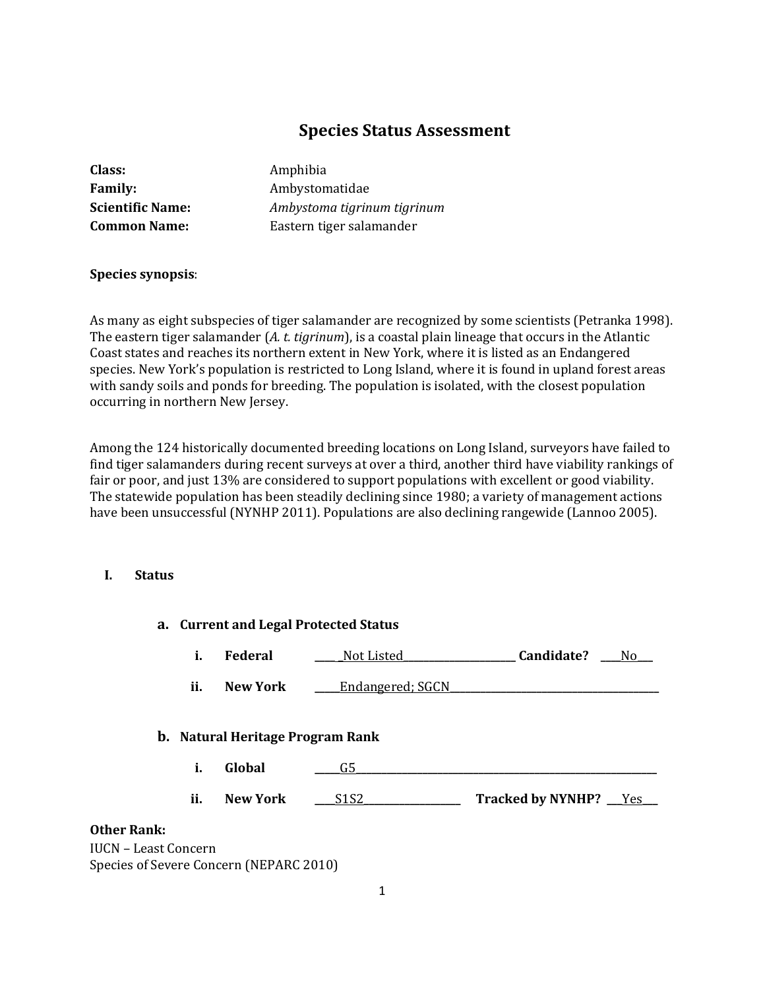# **Species Status Assessment**

| Class:                  |
|-------------------------|
| <b>Family:</b>          |
| <b>Scientific Name:</b> |
| <b>Common Name:</b>     |

**Class:** Amphibia **Family:** Ambystomatidae **Scientific Name:** *Ambystoma tigrinum tigrinum* **Common Name:** Eastern tiger salamander

### **Species synopsis**:

As many as eight subspecies of tiger salamander are recognized by some scientists (Petranka 1998). The eastern tiger salamander (*A. t. tigrinum*), is a coastal plain lineage that occurs in the Atlantic Coast states and reaches its northern extent in New York, where it is listed as an Endangered species. New York's population is restricted to Long Island, where it is found in upland forest areas with sandy soils and ponds for breeding. The population is isolated, with the closest population occurring in northern New Jersey.

Among the 124 historically documented breeding locations on Long Island, surveyors have failed to find tiger salamanders during recent surveys at over a third, another third have viability rankings of fair or poor, and just 13% are considered to support populations with excellent or good viability. The statewide population has been steadily declining since 1980; a variety of management actions have been unsuccessful (NYNHP 2011). Populations are also declining rangewide (Lannoo 2005).

### **I. Status**

|                                                   |     |                                         | a. Current and Legal Protected Status |                          |
|---------------------------------------------------|-----|-----------------------------------------|---------------------------------------|--------------------------|
|                                                   | i.  | Federal                                 | Not Listed                            | Candidate?<br>No.        |
|                                                   | ii. | <b>New York</b>                         | <u>Endangered; SGCN</u>               |                          |
|                                                   |     | <b>b.</b> Natural Heritage Program Rank |                                       |                          |
|                                                   | i.  | Global                                  | G5                                    |                          |
|                                                   | ii. | <b>New York</b>                         | S1S2                                  | Tracked by NYNHP? __ Yes |
| <b>Other Rank:</b><br><b>IUCN - Least Concern</b> |     | Species of Severe Concern (NEPARC 2010) |                                       |                          |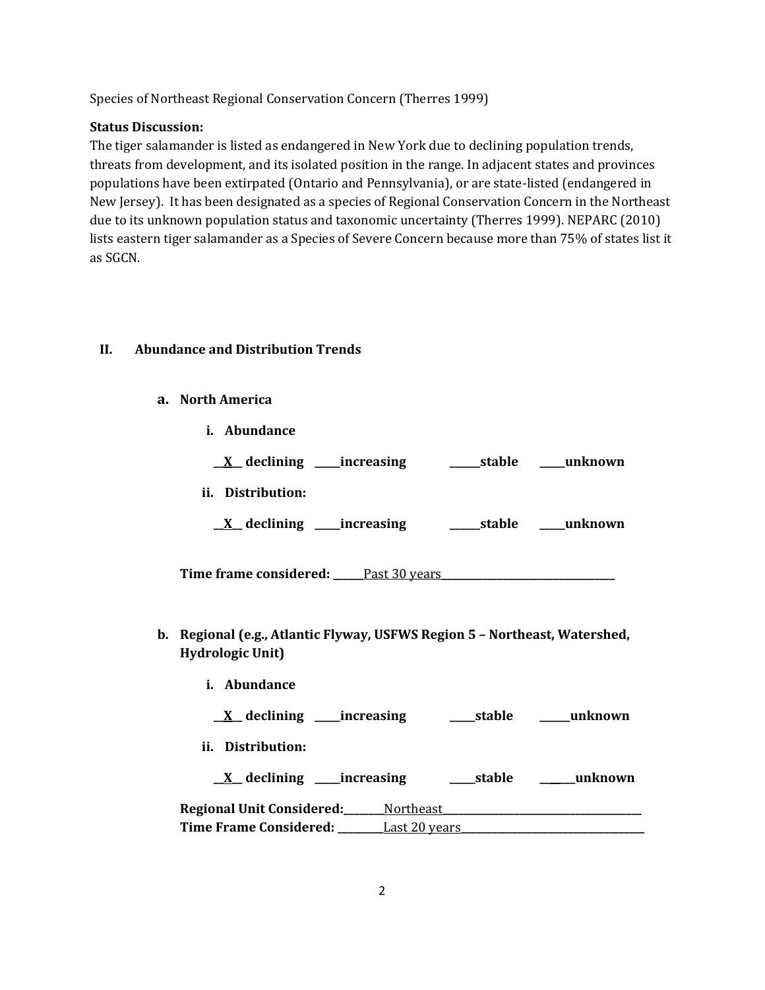Species of Northeast Regional Conservation Concern (Therres 1999)

### **Status Discussion:**

The tiger salamander is listed as endangered in New York due to declining population trends, threats from development, and its isolated position in the range. In adjacent states and provinces populations have been extirpated (Ontario and Pennsylvania), or are state-listed (endangered in New Jersey). It has been designated as a species of Regional Conservation Concern in the Northeast due to its unknown population status and taxonomic uncertainty (Therres 1999). NEPARC (2010) lists eastern tiger salamander as a Species of Severe Concern because more than 75% of states list it as SGCN.

# **II. Abundance and Distribution Trends**

**i. Abundance**

**a. North America**

| stable | unknown                      |
|--------|------------------------------|
|        |                              |
| stable | unknown                      |
|        | __increasing<br>__increasing |

- **Time frame considered: \_\_\_\_\_\_**Past 30 years**\_\_\_\_\_\_\_\_\_\_\_\_\_\_\_\_\_\_\_\_\_\_\_\_\_\_\_\_\_\_\_\_\_\_**
- **b. Regional (e.g., Atlantic Flyway, USFWS Region 5 – Northeast, Watershed, Hydrologic Unit)**
- **i. Abundance \_\_X\_\_ declining \_\_\_\_\_increasing \_\_\_\_\_stable \_\_\_\_\_\_unknown ii. Distribution: \_\_X\_\_ declining \_\_\_\_\_increasing \_\_\_\_\_stable \_\_\_\_\_\_\_unknown Regional Unit Considered:\_\_\_\_\_\_\_\_**Northeast**\_\_\_\_\_\_\_\_\_\_\_\_\_\_\_\_\_\_\_\_\_\_\_\_\_\_\_\_\_\_\_\_\_\_\_\_\_\_\_ Time Frame Considered: \_\_\_\_\_\_\_\_\_**Last 20 years**\_\_\_\_\_\_\_\_\_\_\_\_\_\_\_\_\_\_\_\_\_\_\_\_\_\_\_\_\_\_\_\_\_\_\_\_**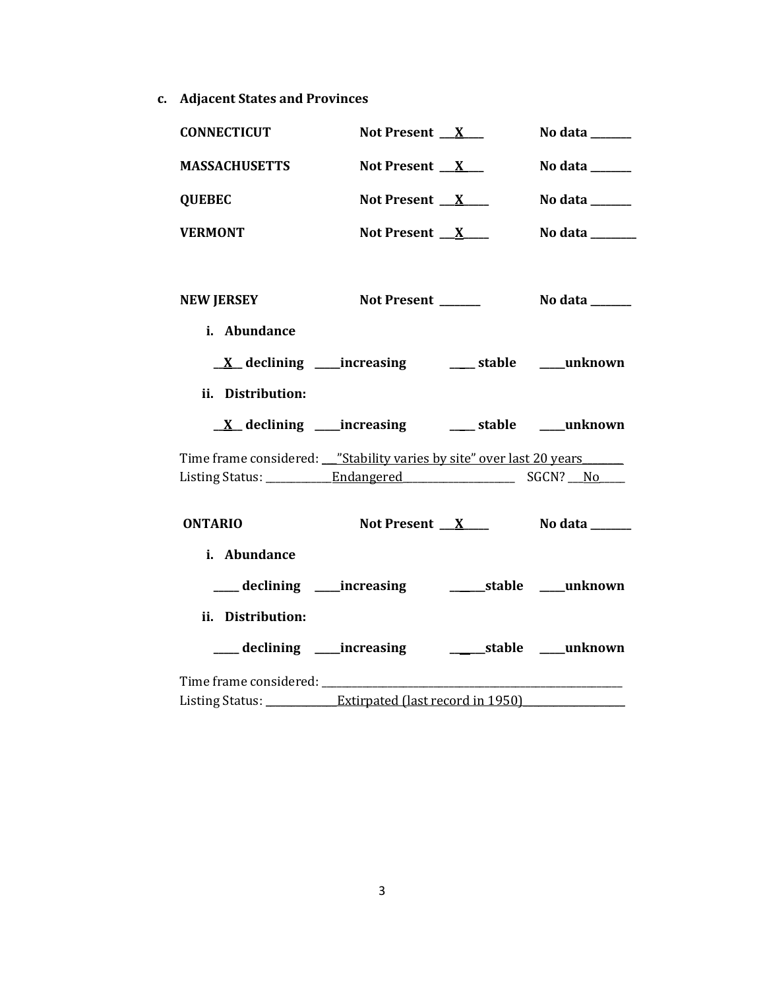**c. Adjacent States and Provinces**

| <b>CONNECTICUT</b>                                                                              | Not Present $X$                                                | No data $\_\_\_\_\_\_\_\_\_\_\_\$   |
|-------------------------------------------------------------------------------------------------|----------------------------------------------------------------|-------------------------------------|
| <b>MASSACHUSETTS</b>                                                                            | Not Present $X_{-}$                                            | No data ______                      |
| <b>QUEBEC</b>                                                                                   | Not Present $X$                                                | No data $\_\_\_\_\_\_\_\_\_\_\_\$   |
| <b>VERMONT</b>                                                                                  | Not Present $X$                                                | No data ______                      |
|                                                                                                 |                                                                |                                     |
| <b>NEW JERSEY</b>                                                                               | Not Present _______                                            | No data $\_\_\_\_\_\_\_\_\_\_\_\_\$ |
| i. Abundance                                                                                    |                                                                |                                     |
|                                                                                                 | <u>X</u> declining ____increasing ________ stable _____unknown |                                     |
| ii. Distribution:                                                                               |                                                                |                                     |
|                                                                                                 |                                                                |                                     |
|                                                                                                 |                                                                |                                     |
| Time frame considered: "Stability varies by site" over last 20 years                            |                                                                |                                     |
|                                                                                                 |                                                                |                                     |
| <b>ONTARIO</b>                                                                                  | Not Present $X$                                                | No data ______                      |
| i. Abundance                                                                                    |                                                                |                                     |
|                                                                                                 | ___ declining ___ increasing ______________stable _____unknown |                                     |
| ii. Distribution:                                                                               |                                                                |                                     |
|                                                                                                 |                                                                |                                     |
| Time frame considered: _______<br>Listing Status: _____________Extirpated (last record in 1950) |                                                                |                                     |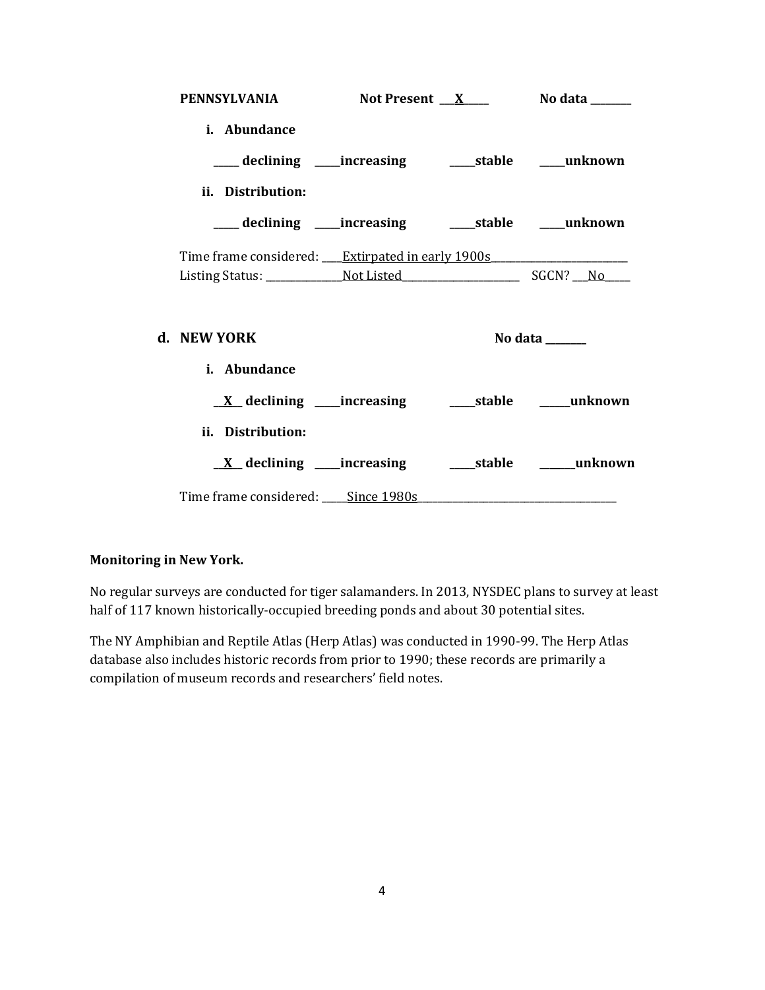| <b>PENNSYLVANIA</b>                                                                                            |  | Not Present $X$ No data $\frac{X}{X}$ |
|----------------------------------------------------------------------------------------------------------------|--|---------------------------------------|
| i. Abundance                                                                                                   |  |                                       |
|                                                                                                                |  |                                       |
| ii. Distribution:                                                                                              |  |                                       |
| ___ declining ____ increasing ______ stable _____ unknown                                                      |  |                                       |
| Time frame considered: <u>Extirpated in early 1900s</u>                                                        |  |                                       |
|                                                                                                                |  |                                       |
| d. NEW YORK                                                                                                    |  | No data $\_\_\_\_\_\_\_\_\_\_\_\$     |
| i. Abundance                                                                                                   |  |                                       |
|                                                                                                                |  |                                       |
| ii. Distribution:                                                                                              |  |                                       |
|                                                                                                                |  |                                       |
| Time frame considered: Since 1980s Manuel Allen Manuel Allen Manuel Allen Manuel Allen Manuel Allen Manuel All |  |                                       |

### **Monitoring in New York.**

No regular surveys are conducted for tiger salamanders. In 2013, NYSDEC plans to survey at least half of 117 known historically-occupied breeding ponds and about 30 potential sites.

The NY Amphibian and Reptile Atlas (Herp Atlas) was conducted in 1990-99. The Herp Atlas database also includes historic records from prior to 1990; these records are primarily a compilation of museum records and researchers' field notes.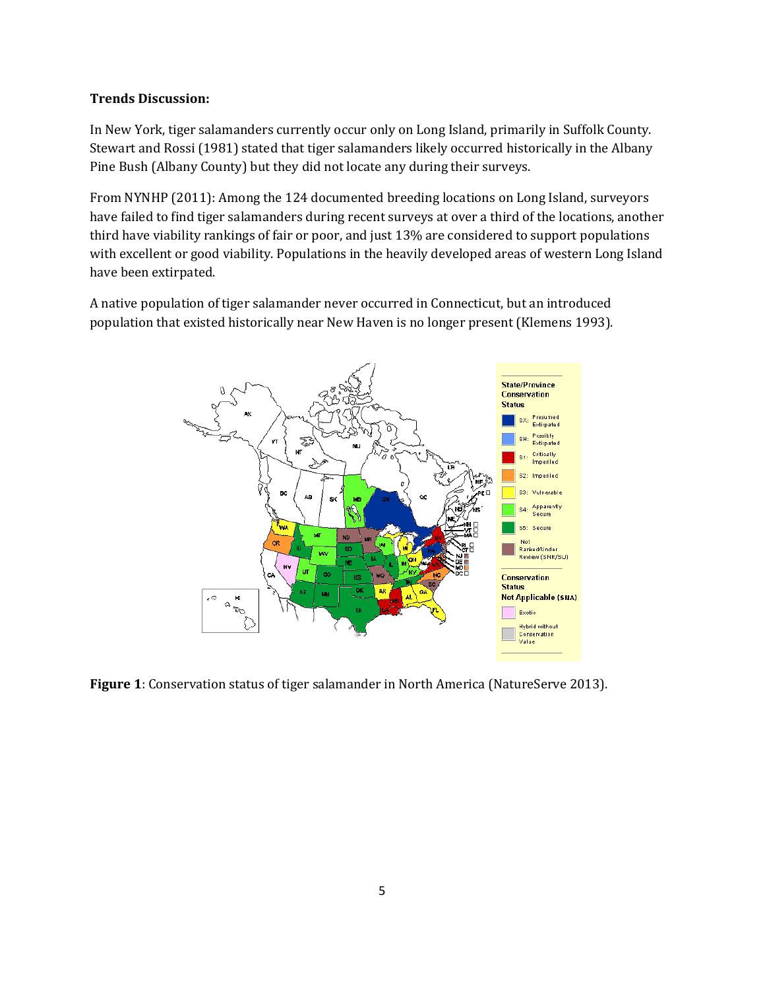### **Trends Discussion:**

In New York, tiger salamanders currently occur only on Long Island, primarily in Suffolk County. Stewart and Rossi (1981) stated that tiger salamanders likely occurred historically in the Albany Pine Bush (Albany County) but they did not locate any during their surveys.

From NYNHP (2011): Among the 124 documented breeding locations on Long Island, surveyors have failed to find tiger salamanders during recent surveys at over a third of the locations, another third have viability rankings of fair or poor, and just 13% are considered to support populations with excellent or good viability. Populations in the heavily developed areas of western Long Island have been extirpated.

A native population of tiger salamander never occurred in Connecticut, but an introduced population that existed historically near New Haven is no longer present (Klemens 1993).



**Figure 1**: Conservation status of tiger salamander in North America (NatureServe 2013).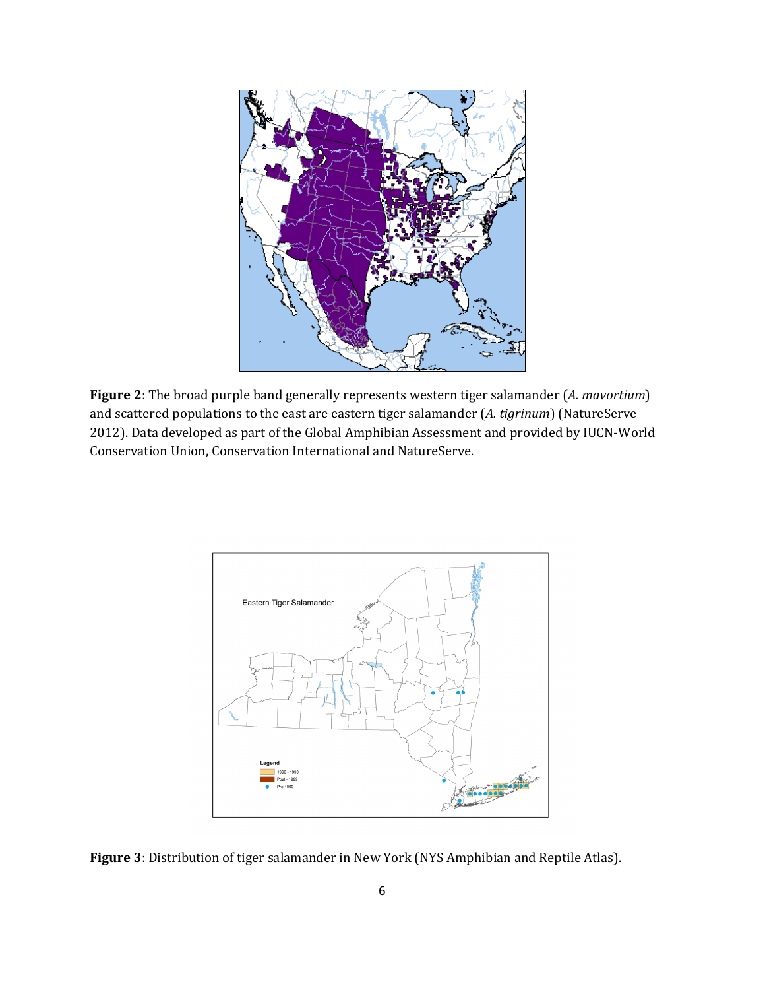

**Figure 2**: The broad purple band generally represents western tiger salamander (*A. mavortium*) and scattered populations to the east are eastern tiger salamander (*A. tigrinum*) (NatureServe 2012). Data developed as part of the Global Amphibian Assessment and provided by IUCN-World Conservation Union, Conservation International and NatureServe.



**Figure 3**: Distribution of tiger salamander in New York (NYS Amphibian and Reptile Atlas).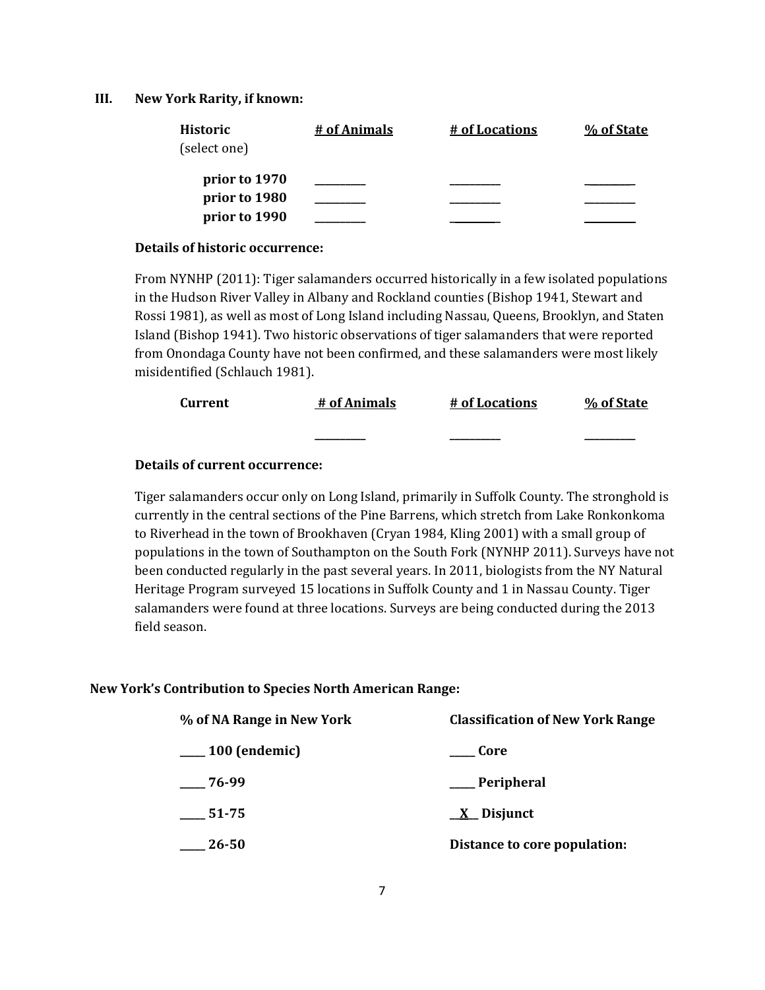#### **III. New York Rarity, if known:**

| <b>Historic</b> | # of Animals | # of Locations | % of State |
|-----------------|--------------|----------------|------------|
| (select one)    |              |                |            |
| prior to 1970   |              |                |            |
| prior to 1980   |              |                |            |
| prior to 1990   |              |                |            |

#### **Details of historic occurrence:**

From NYNHP (2011): Tiger salamanders occurred historically in a few isolated populations in the Hudson River Valley in Albany and Rockland counties (Bishop 1941, Stewart and Rossi 1981), as well as most of Long Island including Nassau, Queens, Brooklyn, and Staten Island (Bishop 1941). Two historic observations of tiger salamanders that were reported from Onondaga County have not been confirmed, and these salamanders were most likely misidentified (Schlauch 1981).

| Current | # of Animals | # of Locations | % of State |
|---------|--------------|----------------|------------|
|         | ________     | ________       |            |

#### **Details of current occurrence:**

Tiger salamanders occur only on Long Island, primarily in Suffolk County. The stronghold is currently in the central sections of the Pine Barrens, which stretch from Lake Ronkonkoma to Riverhead in the town of Brookhaven (Cryan 1984, Kling 2001) with a small group of populations in the town of Southampton on the South Fork (NYNHP 2011). Surveys have not been conducted regularly in the past several years. In 2011, biologists from the NY Natural Heritage Program surveyed 15 locations in Suffolk County and 1 in Nassau County. Tiger salamanders were found at three locations. Surveys are being conducted during the 2013 field season.

#### **New York's Contribution to Species North American Range:**

| % of NA Range in New York | <b>Classification of New York Range</b> |
|---------------------------|-----------------------------------------|
| $100$ (endemic)           | Core                                    |
| $-76-99$                  | __ Peripheral                           |
| 51-75                     | $\underline{X}$ Disjunct                |
| $26 - 50$                 | Distance to core population:            |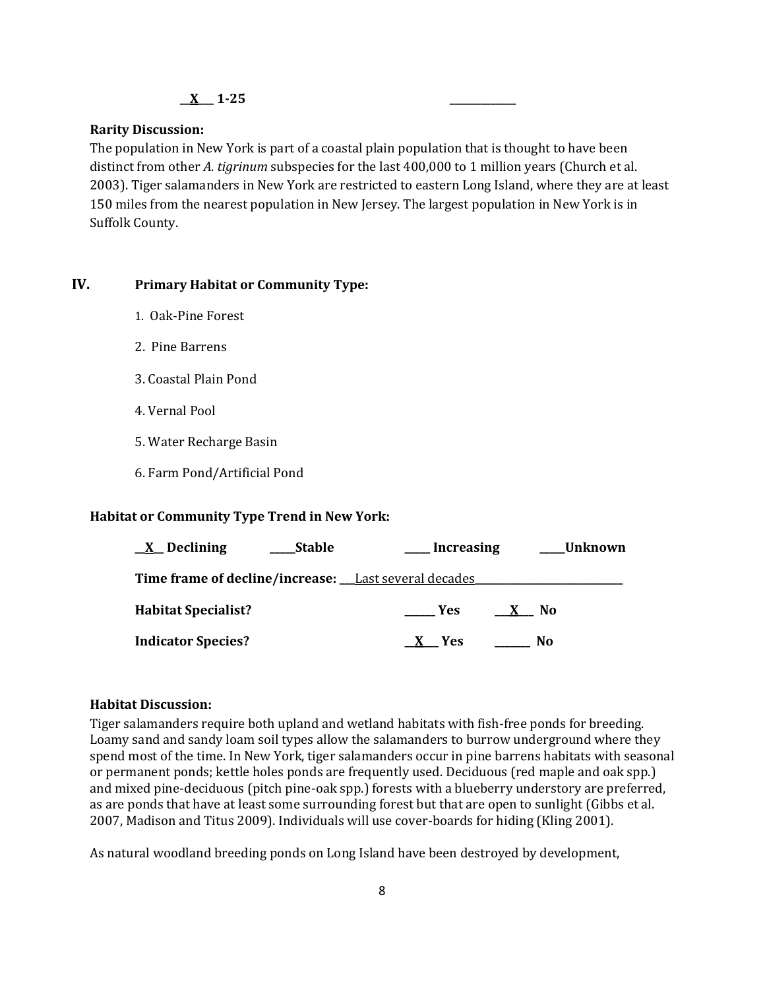#### **\_\_X\_\_\_ 1-25 \_\_\_\_\_\_\_\_\_\_\_\_\_**

#### **Rarity Discussion:**

The population in New York is part of a coastal plain population that is thought to have been distinct from other *A. tigrinum* subspecies for the last 400,000 to 1 million years (Church et al. 2003). Tiger salamanders in New York are restricted to eastern Long Island, where they are at least 150 miles from the nearest population in New Jersey. The largest population in New York is in Suffolk County.

#### **IV. Primary Habitat or Community Type:**

- 1. Oak-Pine Forest
- 2. Pine Barrens
- 3. Coastal Plain Pond
- 4. Vernal Pool
- 5. Water Recharge Basin
- 6. Farm Pond/Artificial Pond

#### **Habitat or Community Type Trend in New York:**

| $\underline{X}$ Declining                            | <b>Stable</b> | Increasing |      | Unknown |
|------------------------------------------------------|---------------|------------|------|---------|
| Time frame of decline/increase: Last several decades |               |            |      |         |
| <b>Habitat Specialist?</b>                           |               | <b>Yes</b> | X No |         |
| <b>Indicator Species?</b>                            |               | X Yes      |      | No.     |

#### **Habitat Discussion:**

Tiger salamanders require both upland and wetland habitats with fish-free ponds for breeding. Loamy sand and sandy loam soil types allow the salamanders to burrow underground where they spend most of the time. In New York, tiger salamanders occur in pine barrens habitats with seasonal or permanent ponds; kettle holes ponds are frequently used. Deciduous (red maple and oak spp.) and mixed pine-deciduous (pitch pine-oak spp.) forests with a blueberry understory are preferred, as are ponds that have at least some surrounding forest but that are open to sunlight (Gibbs et al. 2007, Madison and Titus 2009). Individuals will use cover-boards for hiding (Kling 2001).

As natural woodland breeding ponds on Long Island have been destroyed by development,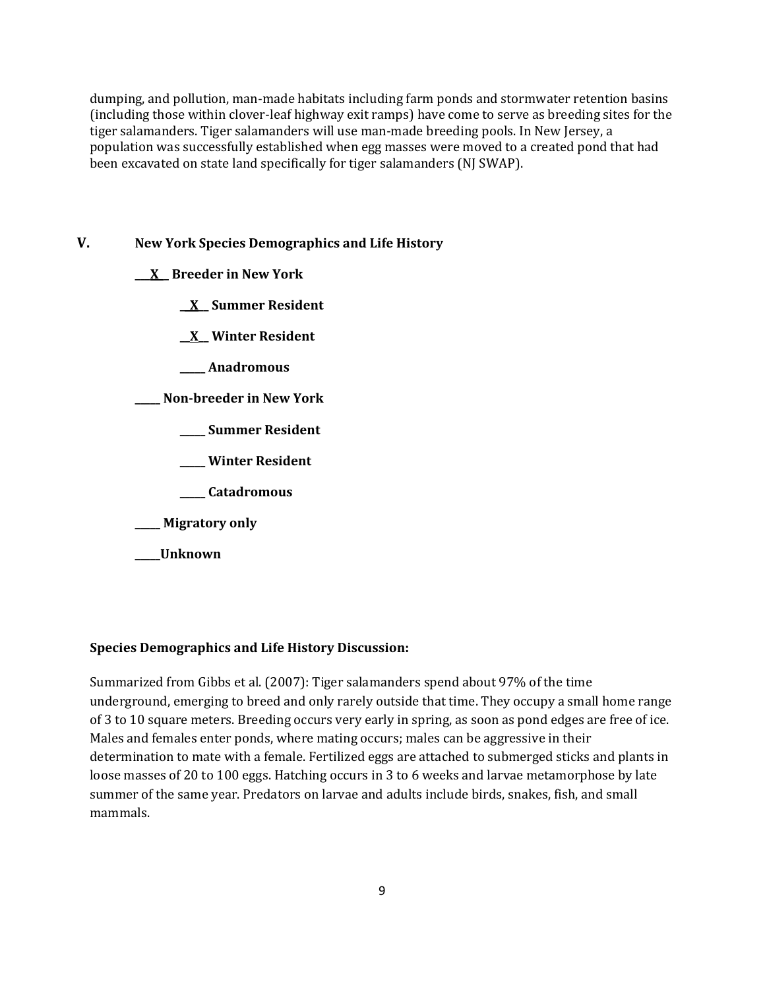dumping, and pollution, man-made habitats including farm ponds and stormwater retention basins (including those within clover-leaf highway exit ramps) have come to serve as breeding sites for the tiger salamanders. Tiger salamanders will use man-made breeding pools. In New Jersey, a population was successfully established when egg masses were moved to a created pond that had been excavated on state land specifically for tiger salamanders (NJ SWAP).

## **V. New York Species Demographics and Life History**

- **\_\_\_X\_\_ Breeder in New York**
	- **\_\_X\_\_ Summer Resident**
	- **\_\_X\_\_ Winter Resident**
	- **\_\_\_\_\_ Anadromous**

**\_\_\_\_\_ Non-breeder in New York**

- **\_\_\_\_\_ Summer Resident**
- **\_\_\_\_\_ Winter Resident**
- **\_\_\_\_\_ Catadromous**
- **\_\_\_\_\_ Migratory only**
- **\_\_\_\_\_Unknown**

### **Species Demographics and Life History Discussion:**

Summarized from Gibbs et al. (2007): Tiger salamanders spend about 97% of the time underground, emerging to breed and only rarely outside that time. They occupy a small home range of 3 to 10 square meters. Breeding occurs very early in spring, as soon as pond edges are free of ice. Males and females enter ponds, where mating occurs; males can be aggressive in their determination to mate with a female. Fertilized eggs are attached to submerged sticks and plants in loose masses of 20 to 100 eggs. Hatching occurs in 3 to 6 weeks and larvae metamorphose by late summer of the same year. Predators on larvae and adults include birds, snakes, fish, and small mammals.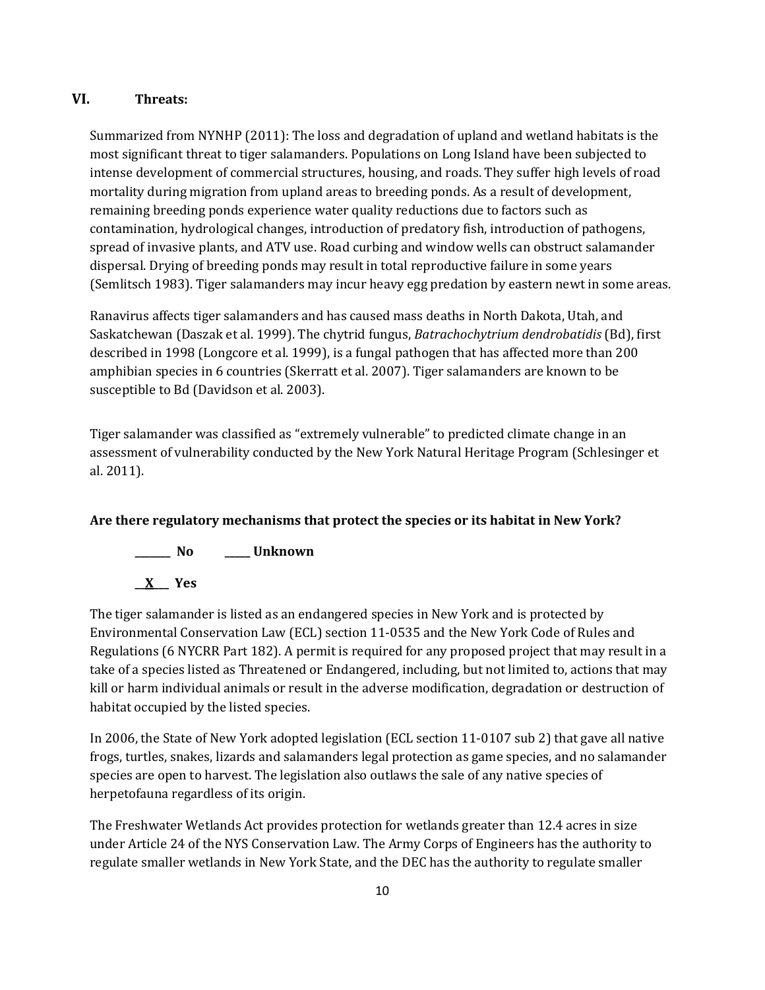### **VI. Threats:**

Summarized from NYNHP (2011): The loss and degradation of upland and wetland habitats is the most significant threat to tiger salamanders. Populations on Long Island have been subjected to intense development of commercial structures, housing, and roads. They suffer high levels of road mortality during migration from upland areas to breeding ponds. As a result of development, remaining breeding ponds experience water quality reductions due to factors such as contamination, hydrological changes, introduction of predatory fish, introduction of pathogens, spread of invasive plants, and ATV use. Road curbing and window wells can obstruct salamander dispersal. Drying of breeding ponds may result in total reproductive failure in some years (Semlitsch 1983). Tiger salamanders may incur heavy egg predation by eastern newt in some areas.

Ranavirus affects tiger salamanders and has caused mass deaths in North Dakota, Utah, and Saskatchewan (Daszak et al. 1999). The chytrid fungus, *Batrachochytrium dendrobatidis* (Bd), first described in 1998 (Longcore et al. 1999), is a fungal pathogen that has affected more than 200 amphibian species in 6 countries (Skerratt et al. 2007). Tiger salamanders are known to be susceptible to Bd (Davidson et al. 2003).

Tiger salamander was classified as "extremely vulnerable" to predicted climate change in an assessment of vulnerability conducted by the New York Natural Heritage Program (Schlesinger et al. 2011).

# **Are there regulatory mechanisms that protect the species or its habitat in New York?**



The tiger salamander is listed as an endangered species in New York and is protected by Environmental Conservation Law (ECL) section 11-0535 and the New York Code of Rules and Regulations (6 NYCRR Part 182). A permit is required for any proposed project that may result in a take of a species listed as Threatened or Endangered, including, but not limited to, actions that may kill or harm individual animals or result in the adverse modification, degradation or destruction of habitat occupied by the listed species.

In 2006, the State of New York adopted legislation (ECL section 11-0107 sub 2) that gave all native frogs, turtles, snakes, lizards and salamanders legal protection as game species, and no salamander species are open to harvest. The legislation also outlaws the sale of any native species of herpetofauna regardless of its origin.

The Freshwater Wetlands Act provides protection for wetlands greater than 12.4 acres in size under Article 24 of the NYS Conservation Law. The Army Corps of Engineers has the authority to regulate smaller wetlands in New York State, and the DEC has the authority to regulate smaller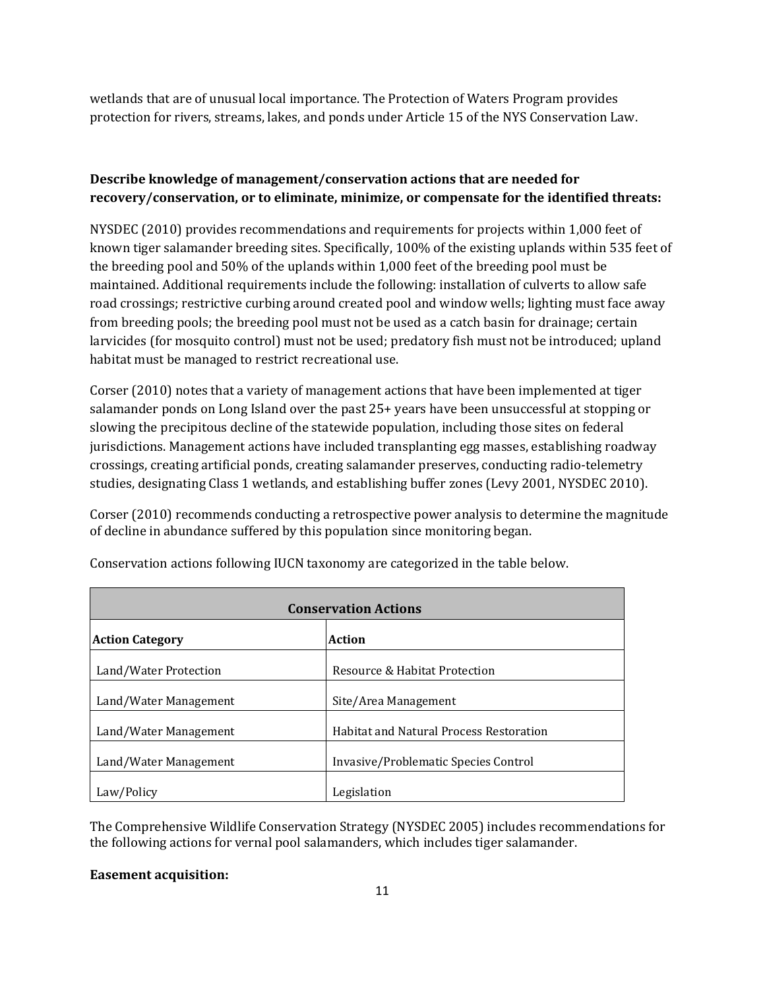wetlands that are of unusual local importance. The Protection of Waters Program provides protection for rivers, streams, lakes, and ponds under Article 15 of the NYS Conservation Law.

# **Describe knowledge of management/conservation actions that are needed for recovery/conservation, or to eliminate, minimize, or compensate for the identified threats:**

NYSDEC (2010) provides recommendations and requirements for projects within 1,000 feet of known tiger salamander breeding sites. Specifically, 100% of the existing uplands within 535 feet of the breeding pool and 50% of the uplands within 1,000 feet of the breeding pool must be maintained. Additional requirements include the following: installation of culverts to allow safe road crossings; restrictive curbing around created pool and window wells; lighting must face away from breeding pools; the breeding pool must not be used as a catch basin for drainage; certain larvicides (for mosquito control) must not be used; predatory fish must not be introduced; upland habitat must be managed to restrict recreational use.

Corser (2010) notes that a variety of management actions that have been implemented at tiger salamander ponds on Long Island over the past 25+ years have been unsuccessful at stopping or slowing the precipitous decline of the statewide population, including those sites on federal jurisdictions. Management actions have included transplanting egg masses, establishing roadway crossings, creating artificial ponds, creating salamander preserves, conducting radio-telemetry studies, designating Class 1 wetlands, and establishing buffer zones (Levy 2001, NYSDEC 2010).

Corser (2010) recommends conducting a retrospective power analysis to determine the magnitude of decline in abundance suffered by this population since monitoring began.

| <b>Conservation Actions</b> |                                                |  |
|-----------------------------|------------------------------------------------|--|
| <b>Action Category</b>      | Action                                         |  |
| Land/Water Protection       | Resource & Habitat Protection                  |  |
| Land/Water Management       | Site/Area Management                           |  |
| Land/Water Management       | <b>Habitat and Natural Process Restoration</b> |  |
| Land/Water Management       | Invasive/Problematic Species Control           |  |
| Law/Policy                  | Legislation                                    |  |

Conservation actions following IUCN taxonomy are categorized in the table below.

The Comprehensive Wildlife Conservation Strategy (NYSDEC 2005) includes recommendations for the following actions for vernal pool salamanders, which includes tiger salamander.

### **Easement acquisition:**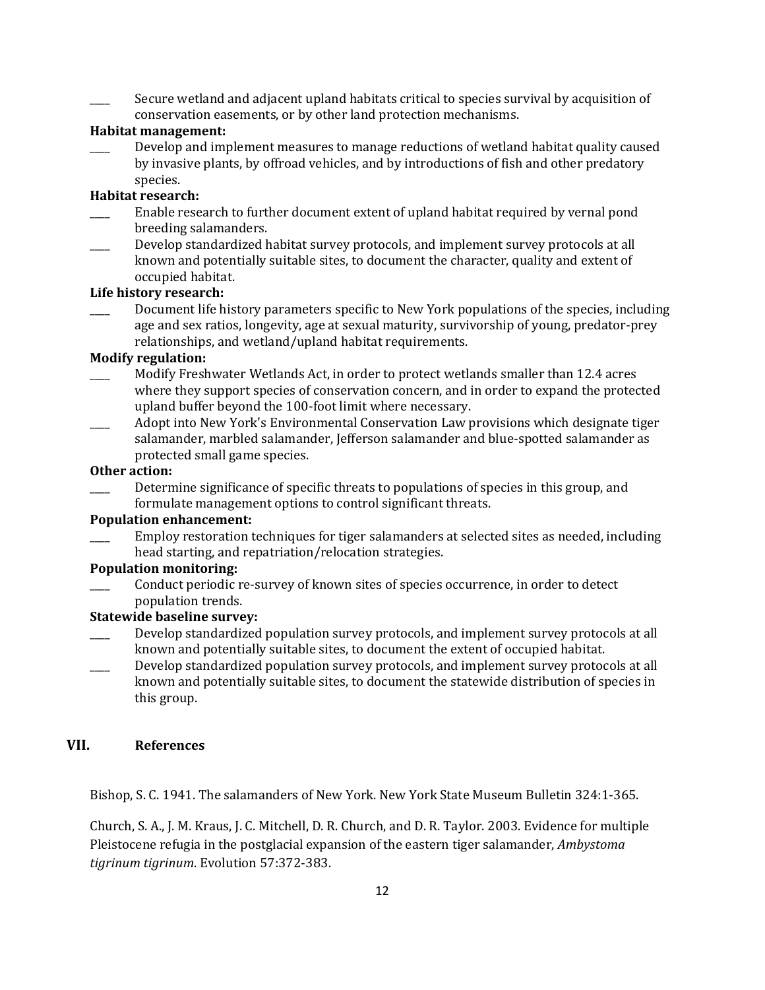Secure wetland and adjacent upland habitats critical to species survival by acquisition of conservation easements, or by other land protection mechanisms.

#### **Habitat management:**

Develop and implement measures to manage reductions of wetland habitat quality caused by invasive plants, by offroad vehicles, and by introductions of fish and other predatory species.

#### **Habitat research:**

- Enable research to further document extent of upland habitat required by vernal pond breeding salamanders.
- Develop standardized habitat survey protocols, and implement survey protocols at all known and potentially suitable sites, to document the character, quality and extent of occupied habitat.

#### **Life history research:**

Document life history parameters specific to New York populations of the species, including age and sex ratios, longevity, age at sexual maturity, survivorship of young, predator-prey relationships, and wetland/upland habitat requirements.

#### **Modify regulation:**

- \_\_\_\_ Modify Freshwater Wetlands Act, in order to protect wetlands smaller than 12.4 acres where they support species of conservation concern, and in order to expand the protected upland buffer beyond the 100-foot limit where necessary.
- \_\_\_\_ Adopt into New York's Environmental Conservation Law provisions which designate tiger salamander, marbled salamander, Jefferson salamander and blue-spotted salamander as protected small game species.

#### **Other action:**

Determine significance of specific threats to populations of species in this group, and formulate management options to control significant threats.

### **Population enhancement:**

Employ restoration techniques for tiger salamanders at selected sites as needed, including head starting, and repatriation/relocation strategies.

### **Population monitoring:**

\_\_\_\_ Conduct periodic re-survey of known sites of species occurrence, in order to detect population trends.

### **Statewide baseline survey:**

- Develop standardized population survey protocols, and implement survey protocols at all known and potentially suitable sites, to document the extent of occupied habitat.
- Develop standardized population survey protocols, and implement survey protocols at all known and potentially suitable sites, to document the statewide distribution of species in this group.

# **VII. References**

Bishop, S. C. 1941. The salamanders of New York. New York State Museum Bulletin 324:1-365.

Church, S. A., J. M. Kraus, J. C. Mitchell, D. R. Church, and D. R. Taylor. 2003. Evidence for multiple Pleistocene refugia in the postglacial expansion of the eastern tiger salamander, *Ambystoma tigrinum tigrinum*. Evolution 57:372-383.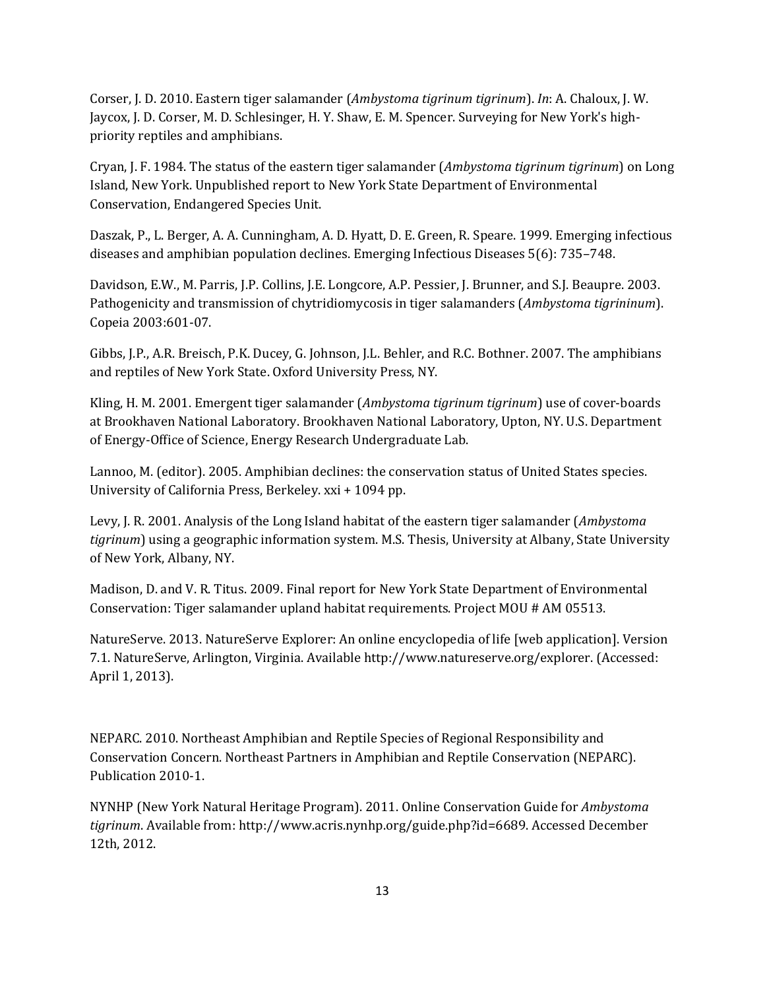Corser, J. D. 2010. Eastern tiger salamander (*Ambystoma tigrinum tigrinum*). *In*: A. Chaloux, J. W. Jaycox, J. D. Corser, M. D. Schlesinger, H. Y. Shaw, E. M. Spencer. Surveying for New York's highpriority reptiles and amphibians.

Cryan, J. F. 1984. The status of the eastern tiger salamander (*Ambystoma tigrinum tigrinum*) on Long Island, New York. Unpublished report to New York State Department of Environmental Conservation, Endangered Species Unit.

Daszak, P., L. Berger, A. A. Cunningham, A. D. Hyatt, D. E. Green, R. Speare. 1999. Emerging infectious diseases and amphibian population declines. Emerging Infectious Diseases 5(6): 735–748.

Davidson, E.W., M. Parris, J.P. Collins, J.E. Longcore, A.P. Pessier, J. Brunner, and S.J. Beaupre. 2003. Pathogenicity and transmission of chytridiomycosis in tiger salamanders (*Ambystoma tigrininum*). Copeia 2003:601-07.

Gibbs, J.P., A.R. Breisch, P.K. Ducey, G. Johnson, J.L. Behler, and R.C. Bothner. 2007. The amphibians and reptiles of New York State. Oxford University Press, NY.

Kling, H. M. 2001. Emergent tiger salamander (*Ambystoma tigrinum tigrinum*) use of cover-boards at Brookhaven National Laboratory. Brookhaven National Laboratory, Upton, NY. U.S. Department of Energy-Office of Science, Energy Research Undergraduate Lab.

Lannoo, M. (editor). 2005. Amphibian declines: the conservation status of United States species. University of California Press, Berkeley. xxi + 1094 pp.

Levy, J. R. 2001. Analysis of the Long Island habitat of the eastern tiger salamander (*Ambystoma tigrinum*) using a geographic information system. M.S. Thesis, University at Albany, State University of New York, Albany, NY.

Madison, D. and V. R. Titus. 2009. Final report for New York State Department of Environmental Conservation: Tiger salamander upland habitat requirements. Project MOU # AM 05513.

NatureServe. 2013. NatureServe Explorer: An online encyclopedia of life [web application]. Version 7.1. NatureServe, Arlington, Virginia. Available http://www.natureserve.org/explorer. (Accessed: April 1, 2013).

NEPARC. 2010. Northeast Amphibian and Reptile Species of Regional Responsibility and Conservation Concern. Northeast Partners in Amphibian and Reptile Conservation (NEPARC). Publication 2010-1.

NYNHP (New York Natural Heritage Program). 2011. Online Conservation Guide for *Ambystoma tigrinum*. Available from: http://www.acris.nynhp.org/guide.php?id=6689. Accessed December 12th, 2012.